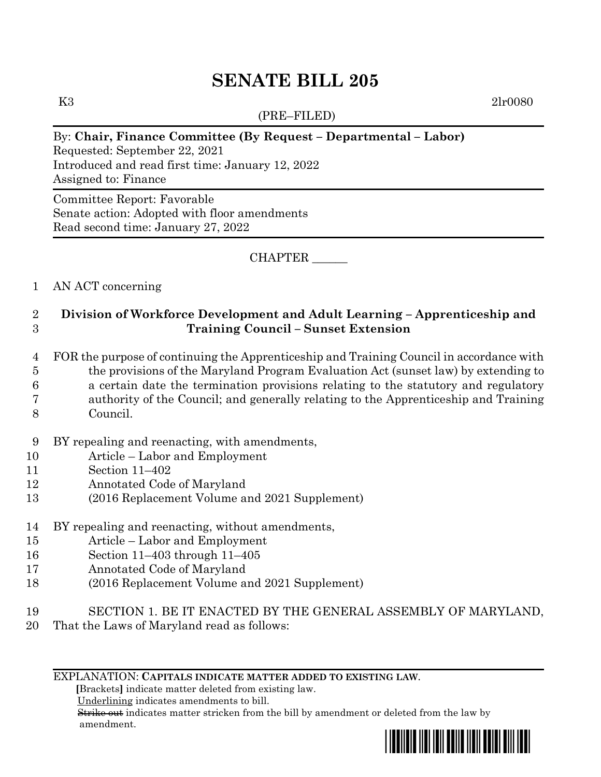# **SENATE BILL 205**

(PRE–FILED)

K3 2lr0080

# By: **Chair, Finance Committee (By Request – Departmental – Labor)**

Requested: September 22, 2021 Introduced and read first time: January 12, 2022 Assigned to: Finance

Committee Report: Favorable Senate action: Adopted with floor amendments Read second time: January 27, 2022

CHAPTER \_\_\_\_\_\_

## 1 AN ACT concerning

# 2 **Division of Workforce Development and Adult Learning – Apprenticeship and**  3 **Training Council – Sunset Extension**

- 4 FOR the purpose of continuing the Apprenticeship and Training Council in accordance with
- 5 the provisions of the Maryland Program Evaluation Act (sunset law) by extending to
- 6 a certain date the termination provisions relating to the statutory and regulatory
- 7 authority of the Council; and generally relating to the Apprenticeship and Training
- 8 Council.
- 9 BY repealing and reenacting, with amendments,
- 10 Article Labor and Employment
- 11 Section 11–402
- 12 Annotated Code of Maryland
- 13 (2016 Replacement Volume and 2021 Supplement)
- 14 BY repealing and reenacting, without amendments,
- 15 Article Labor and Employment
- 16 Section 11–403 through 11–405
- 17 Annotated Code of Maryland
- 18 (2016 Replacement Volume and 2021 Supplement)
- 19 SECTION 1. BE IT ENACTED BY THE GENERAL ASSEMBLY OF MARYLAND,
- 20 That the Laws of Maryland read as follows:

#### EXPLANATION: **CAPITALS INDICATE MATTER ADDED TO EXISTING LAW**.

 **[**Brackets**]** indicate matter deleted from existing law.

Underlining indicates amendments to bill.

 Strike out indicates matter stricken from the bill by amendment or deleted from the law by amendment.

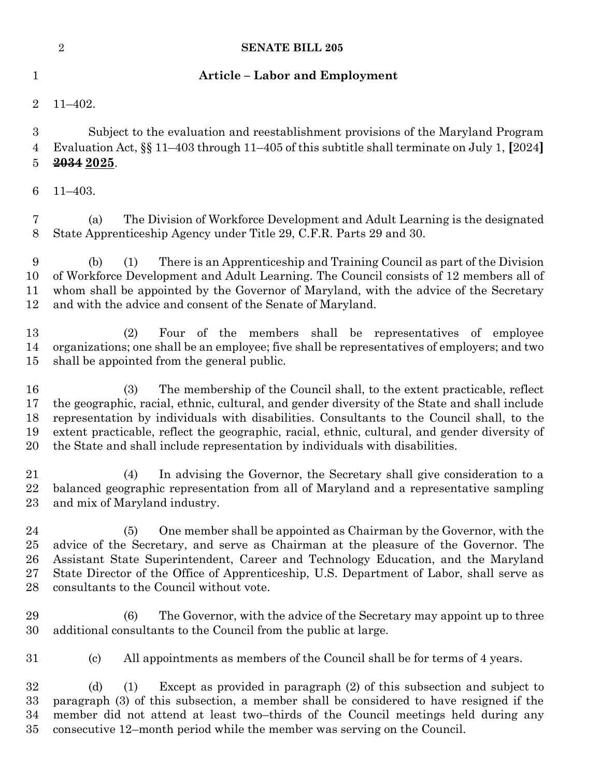|                                    | $\overline{2}$<br><b>SENATE BILL 205</b>                                                                                                                                                                                                                                                                                                                                                                                                                      |
|------------------------------------|---------------------------------------------------------------------------------------------------------------------------------------------------------------------------------------------------------------------------------------------------------------------------------------------------------------------------------------------------------------------------------------------------------------------------------------------------------------|
| $\mathbf 1$                        | <b>Article - Labor and Employment</b>                                                                                                                                                                                                                                                                                                                                                                                                                         |
| $\overline{2}$                     | $11 - 402.$                                                                                                                                                                                                                                                                                                                                                                                                                                                   |
| 3<br>4<br>5                        | Subject to the evaluation and reestablishment provisions of the Maryland Program<br>Evaluation Act, $\S$ 11–403 through 11–405 of this subtitle shall terminate on July 1, [2024]<br>2034 2025.                                                                                                                                                                                                                                                               |
| 6                                  | $11 - 403.$                                                                                                                                                                                                                                                                                                                                                                                                                                                   |
| 7<br>8                             | The Division of Workforce Development and Adult Learning is the designated<br>(a)<br>State Apprenticeship Agency under Title 29, C.F.R. Parts 29 and 30.                                                                                                                                                                                                                                                                                                      |
| 9<br>10<br>11<br>12                | There is an Apprenticeship and Training Council as part of the Division<br>(1)<br>(b)<br>of Workforce Development and Adult Learning. The Council consists of 12 members all of<br>whom shall be appointed by the Governor of Maryland, with the advice of the Secretary<br>and with the advice and consent of the Senate of Maryland.                                                                                                                        |
| 13<br>14<br>15                     | Four of the members shall be representatives of employee<br>(2)<br>organizations; one shall be an employee; five shall be representatives of employers; and two<br>shall be appointed from the general public.                                                                                                                                                                                                                                                |
| 16<br>17<br>18<br>19<br>20         | The membership of the Council shall, to the extent practicable, reflect<br>(3)<br>the geographic, racial, ethnic, cultural, and gender diversity of the State and shall include<br>representation by individuals with disabilities. Consultants to the Council shall, to the<br>extent practicable, reflect the geographic, racial, ethnic, cultural, and gender diversity of<br>the State and shall include representation by individuals with disabilities. |
| 21<br>22<br>23                     | In advising the Governor, the Secretary shall give consideration to a<br>(4)<br>balanced geographic representation from all of Maryland and a representative sampling<br>and mix of Maryland industry.                                                                                                                                                                                                                                                        |
| 24<br>25<br>$26\,$<br>$27\,$<br>28 | One member shall be appointed as Chairman by the Governor, with the<br>(5)<br>advice of the Secretary, and serve as Chairman at the pleasure of the Governor. The<br>Assistant State Superintendent, Career and Technology Education, and the Maryland<br>State Director of the Office of Apprenticeship, U.S. Department of Labor, shall serve as<br>consultants to the Council without vote.                                                                |
| 29<br>30                           | (6)<br>The Governor, with the advice of the Secretary may appoint up to three<br>additional consultants to the Council from the public at large.                                                                                                                                                                                                                                                                                                              |
| $31\,$                             | All appointments as members of the Council shall be for terms of 4 years.<br>$\left( \mathrm{c}\right)$                                                                                                                                                                                                                                                                                                                                                       |
| 32<br>$33\,$<br>34<br>$35\,$       | Except as provided in paragraph (2) of this subsection and subject to<br>(d)<br>(1)<br>paragraph (3) of this subsection, a member shall be considered to have resigned if the<br>member did not attend at least two-thirds of the Council meetings held during any<br>consecutive 12–month period while the member was serving on the Council.                                                                                                                |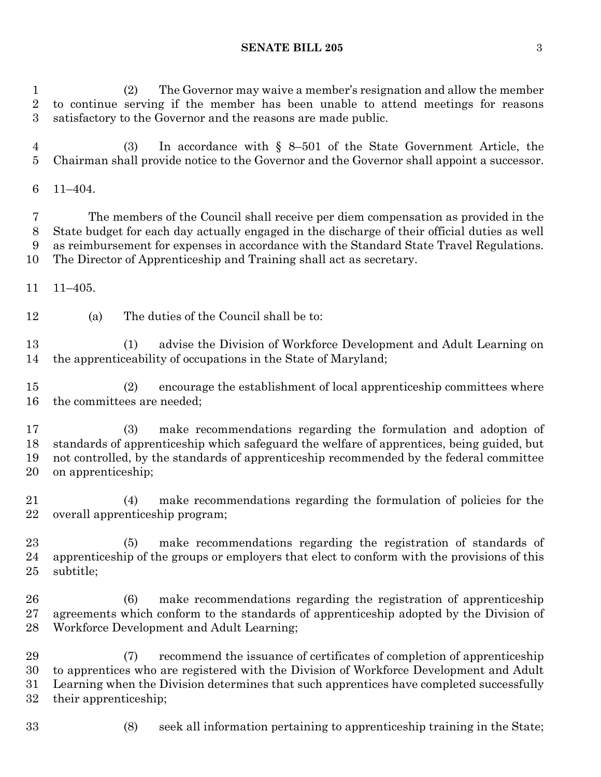## **SENATE BILL 205** 3

 (2) The Governor may waive a member's resignation and allow the member to continue serving if the member has been unable to attend meetings for reasons satisfactory to the Governor and the reasons are made public.

 (3) In accordance with § 8–501 of the State Government Article, the Chairman shall provide notice to the Governor and the Governor shall appoint a successor.

11–404.

 The members of the Council shall receive per diem compensation as provided in the State budget for each day actually engaged in the discharge of their official duties as well as reimbursement for expenses in accordance with the Standard State Travel Regulations. The Director of Apprenticeship and Training shall act as secretary.

11–405.

(a) The duties of the Council shall be to:

 (1) advise the Division of Workforce Development and Adult Learning on the apprenticeability of occupations in the State of Maryland;

 (2) encourage the establishment of local apprenticeship committees where the committees are needed;

 (3) make recommendations regarding the formulation and adoption of standards of apprenticeship which safeguard the welfare of apprentices, being guided, but not controlled, by the standards of apprenticeship recommended by the federal committee on apprenticeship;

 (4) make recommendations regarding the formulation of policies for the overall apprenticeship program;

 (5) make recommendations regarding the registration of standards of apprenticeship of the groups or employers that elect to conform with the provisions of this subtitle;

 (6) make recommendations regarding the registration of apprenticeship agreements which conform to the standards of apprenticeship adopted by the Division of Workforce Development and Adult Learning;

 (7) recommend the issuance of certificates of completion of apprenticeship to apprentices who are registered with the Division of Workforce Development and Adult Learning when the Division determines that such apprentices have completed successfully their apprenticeship;

- 
- (8) seek all information pertaining to apprenticeship training in the State;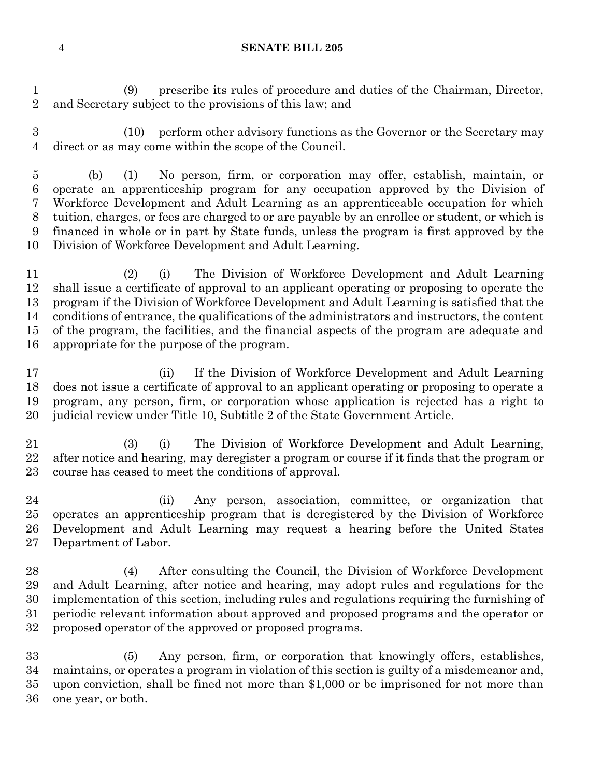#### **SENATE BILL 205**

 (9) prescribe its rules of procedure and duties of the Chairman, Director, and Secretary subject to the provisions of this law; and

 (10) perform other advisory functions as the Governor or the Secretary may direct or as may come within the scope of the Council.

 (b) (1) No person, firm, or corporation may offer, establish, maintain, or operate an apprenticeship program for any occupation approved by the Division of Workforce Development and Adult Learning as an apprenticeable occupation for which tuition, charges, or fees are charged to or are payable by an enrollee or student, or which is financed in whole or in part by State funds, unless the program is first approved by the Division of Workforce Development and Adult Learning.

 (2) (i) The Division of Workforce Development and Adult Learning shall issue a certificate of approval to an applicant operating or proposing to operate the program if the Division of Workforce Development and Adult Learning is satisfied that the conditions of entrance, the qualifications of the administrators and instructors, the content of the program, the facilities, and the financial aspects of the program are adequate and appropriate for the purpose of the program.

 (ii) If the Division of Workforce Development and Adult Learning does not issue a certificate of approval to an applicant operating or proposing to operate a program, any person, firm, or corporation whose application is rejected has a right to judicial review under Title 10, Subtitle 2 of the State Government Article.

 (3) (i) The Division of Workforce Development and Adult Learning, after notice and hearing, may deregister a program or course if it finds that the program or course has ceased to meet the conditions of approval.

 (ii) Any person, association, committee, or organization that operates an apprenticeship program that is deregistered by the Division of Workforce Development and Adult Learning may request a hearing before the United States Department of Labor.

 (4) After consulting the Council, the Division of Workforce Development and Adult Learning, after notice and hearing, may adopt rules and regulations for the implementation of this section, including rules and regulations requiring the furnishing of periodic relevant information about approved and proposed programs and the operator or proposed operator of the approved or proposed programs.

 (5) Any person, firm, or corporation that knowingly offers, establishes, maintains, or operates a program in violation of this section is guilty of a misdemeanor and, upon conviction, shall be fined not more than \$1,000 or be imprisoned for not more than one year, or both.